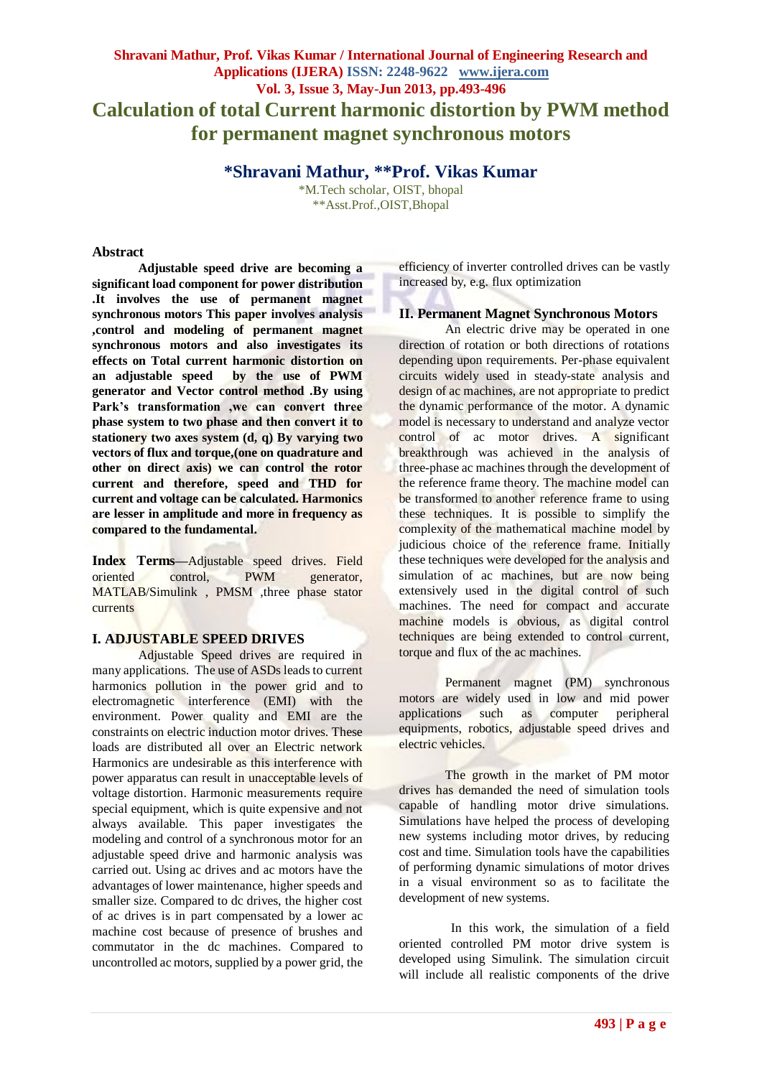# **Shravani Mathur, Prof. Vikas Kumar / International Journal of Engineering Research and Applications (IJERA) ISSN: 2248-9622 www.ijera.com Vol. 3, Issue 3, May-Jun 2013, pp.493-496 Calculation of total Current harmonic distortion by PWM method for permanent magnet synchronous motors**

**\*Shravani Mathur, \*\*Prof. Vikas Kumar**

\*M.Tech scholar, OIST, bhopal \*\*Asst.Prof.,OIST,Bhopal

#### **Abstract**

**Adjustable speed drive are becoming a significant load component for power distribution .It involves the use of permanent magnet synchronous motors This paper involves analysis ,control and modeling of permanent magnet synchronous motors and also investigates its effects on Total current harmonic distortion on**  by the use of PWM **generator and Vector control method .By using Park's transformation ,we can convert three phase system to two phase and then convert it to stationery two axes system (d, q) By varying two vectors of flux and torque,(one on quadrature and other on direct axis) we can control the rotor current and therefore, speed and THD for current and voltage can be calculated. Harmonics are lesser in amplitude and more in frequency as compared to the fundamental.**

**Index Terms—**Adjustable speed drives. Field oriented control, PWM generator, MATLAB/Simulink , PMSM ,three phase stator currents

## **I. ADJUSTABLE SPEED DRIVES**

Adjustable Speed drives are required in many applications. The use of ASDs leads to current harmonics pollution in the power grid and to electromagnetic interference (EMI) with the environment. Power quality and EMI are the constraints on electric induction motor drives. These loads are distributed all over an Electric network Harmonics are undesirable as this interference with power apparatus can result in unacceptable levels of voltage distortion. Harmonic measurements require special equipment, which is quite expensive and not always available. This paper investigates the modeling and control of a synchronous motor for an adjustable speed drive and harmonic analysis was carried out. Using ac drives and ac motors have the advantages of lower maintenance, higher speeds and smaller size. Compared to dc drives, the higher cost of ac drives is in part compensated by a lower ac machine cost because of presence of brushes and commutator in the dc machines. Compared to uncontrolled ac motors, supplied by a power grid, the efficiency of inverter controlled drives can be vastly increased by, e.g. flux optimization

## **II. Permanent Magnet Synchronous Motors**

An electric drive may be operated in one direction of rotation or both directions of rotations depending upon requirements. Per-phase equivalent circuits widely used in steady-state analysis and design of ac machines, are not appropriate to predict the dynamic performance of the motor. A dynamic model is necessary to understand and analyze vector control of ac motor drives. A significant breakthrough was achieved in the analysis of three-phase ac machines through the development of the reference frame theory. The machine model can be transformed to another reference frame to using these techniques. It is possible to simplify the complexity of the mathematical machine model by judicious choice of the reference frame. Initially these techniques were developed for the analysis and simulation of ac machines, but are now being extensively used in the digital control of such machines. The need for compact and accurate machine models is obvious, as digital control techniques are being extended to control current, torque and flux of the ac machines.

Permanent magnet (PM) synchronous motors are widely used in low and mid power applications such as computer peripheral equipments, robotics, adjustable speed drives and electric vehicles.

The growth in the market of PM motor drives has demanded the need of simulation tools capable of handling motor drive simulations. Simulations have helped the process of developing new systems including motor drives, by reducing cost and time. Simulation tools have the capabilities of performing dynamic simulations of motor drives in a visual environment so as to facilitate the development of new systems.

In this work, the simulation of a field oriented controlled PM motor drive system is developed using Simulink. The simulation circuit will include all realistic components of the drive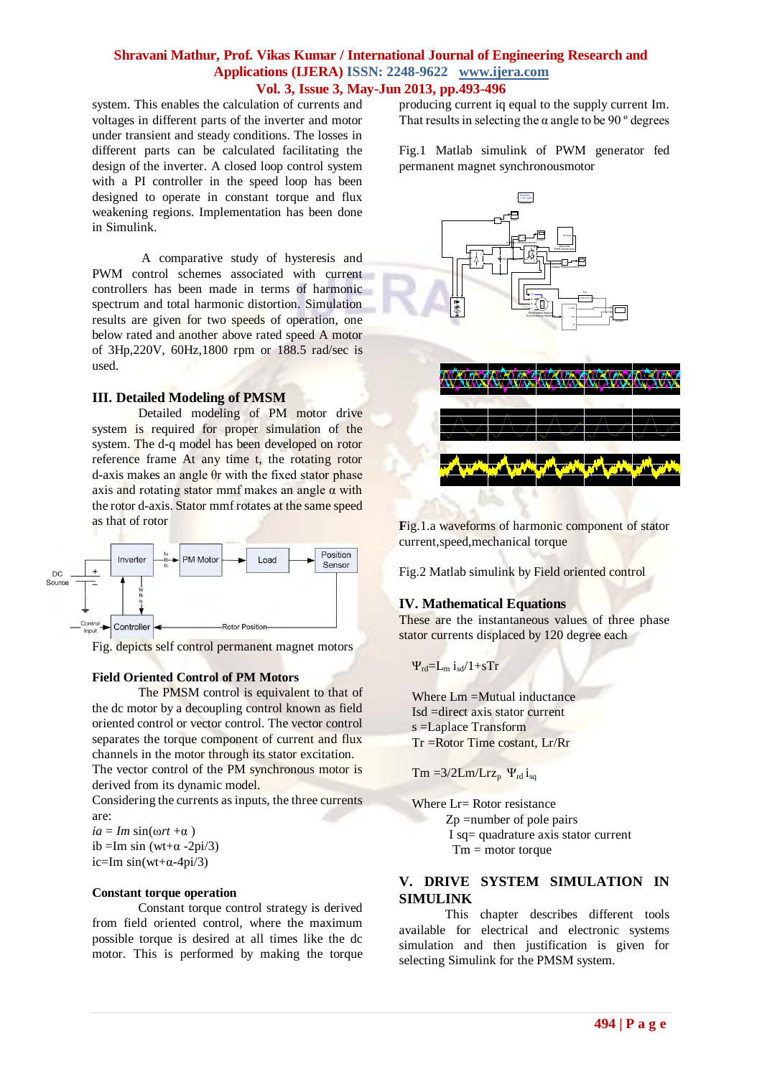# **Shravani Mathur, Prof. Vikas Kumar / International Journal of Engineering Research and Applications (IJERA) ISSN: 2248-9622 www.ijera.com Vol. 3, Issue 3, May-Jun 2013, pp.493-496**

system. This enables the calculation of currents and voltages in different parts of the inverter and motor under transient and steady conditions. The losses in different parts can be calculated facilitating the design of the inverter. A closed loop control system with a PI controller in the speed loop has been designed to operate in constant torque and flux weakening regions. Implementation has been done in Simulink.

A comparative study of hysteresis and PWM control schemes associated with current controllers has been made in terms of harmonic spectrum and total harmonic distortion. Simulation results are given for two speeds of operation, one below rated and another above rated speed A motor of 3Hp,220V, 60Hz,1800 rpm or 188.5 rad/sec is used.

#### **III. Detailed Modeling of PMSM**

Detailed modeling of PM motor drive system is required for proper simulation of the system. The d-q model has been developed on rotor reference frame At any time t, the rotating rotor d-axis makes an angle θr with the fixed stator phase axis and rotating stator mmf makes an angle  $\alpha$  with the rotor d-axis. Stator mmf rotates at the same speed as that of rotor



Fig. depicts self control permanent magnet motors

#### **Field Oriented Control of PM Motors**

The PMSM control is equivalent to that of the dc motor by a decoupling control known as field oriented control or vector control. The vector control separates the torque component of current and flux channels in the motor through its stator excitation.

The vector control of the PM synchronous motor is derived from its dynamic model.

Considering the currents as inputs, the three currents are:

 $ia = Im \sin(\omega rt + \alpha)$ ib =Im sin (wt+ $\alpha$  -2pi/3) ic=Im  $sin(wt+\alpha-4pi/3)$ 

#### **Constant torque operation**

Constant torque control strategy is derived from field oriented control, where the maximum possible torque is desired at all times like the dc motor. This is performed by making the torque producing current iq equal to the supply current Im. That results in selecting the  $\alpha$  angle to be 90 $^{\circ}$  degrees

Fig.1 Matlab simulink of PWM generator fed permanent magnet synchronousmotor



**Fig.1.a waveforms of harmonic component of stator** current,speed,mechanical torque

Fig.2 Matlab simulink by Field oriented control

## **IV. Mathematical Equations**

These are the instantaneous values of three phase stator currents displaced by 120 degree each

$$
\Psi_{rd} = L_m i_{sd}/1 + sTr
$$

Where Lm =Mutual inductance Isd =direct axis stator current s =Laplace Transform Tr =Rotor Time costant, Lr/Rr

 $Tm = 3/2Lm/Lrz_p \Psi_{rd} i_{sq}$ 

Where Lr= Rotor resistance Zp =number of pole pairs I sq= quadrature axis stator current  $Tm = motor torque$ 

# **V. DRIVE SYSTEM SIMULATION IN SIMULINK**

This chapter describes different tools available for electrical and electronic systems simulation and then justification is given for selecting Simulink for the PMSM system.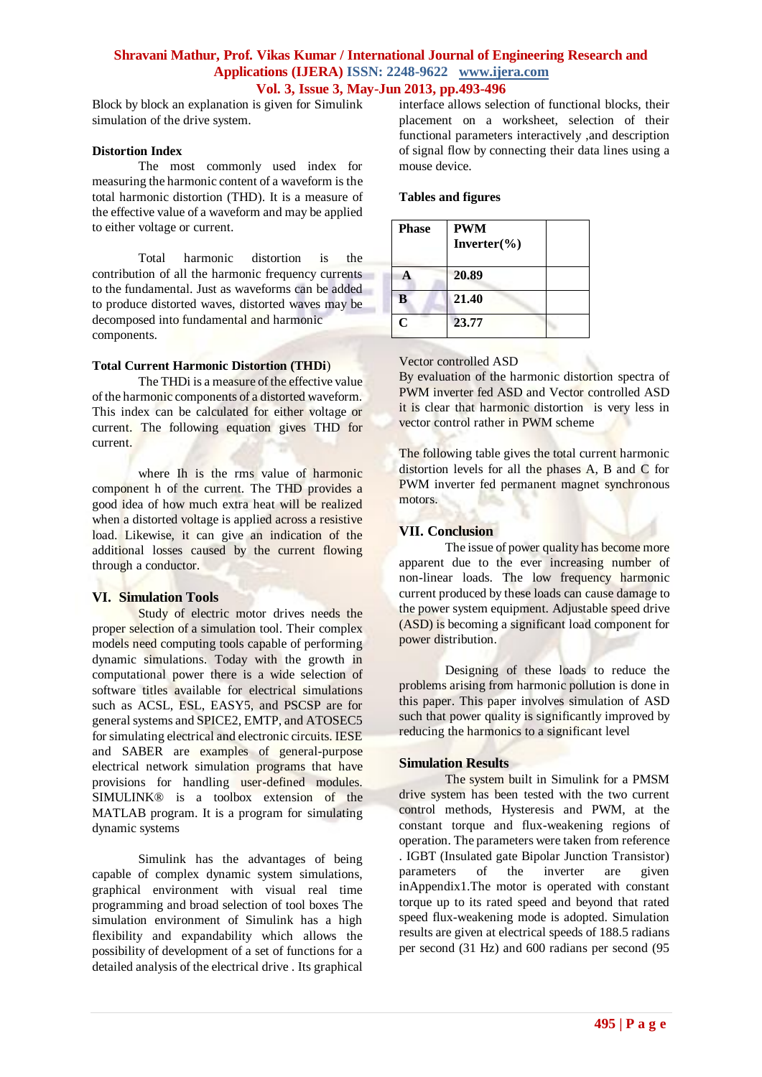# **Shravani Mathur, Prof. Vikas Kumar / International Journal of Engineering Research and Applications (IJERA) ISSN: 2248-9622 www.ijera.com Vol. 3, Issue 3, May-Jun 2013, pp.493-496**

Block by block an explanation is given for Simulink simulation of the drive system.

#### **Distortion Index**

The most commonly used index for measuring the harmonic content of a waveform is the total harmonic distortion (THD). It is a measure of the effective value of a waveform and may be applied to either voltage or current.

Total harmonic distortion is the contribution of all the harmonic frequency currents to the fundamental. Just as waveforms can be added to produce distorted waves, distorted waves may be decomposed into fundamental and harmonic components.

#### **Total Current Harmonic Distortion (THDi**)

The THD<sub>i</sub> is a measure of the effective value of the harmonic components of a distorted waveform. This index can be calculated for either voltage or current. The following equation gives THD for current.

where Ih is the rms value of harmonic component h of the current. The THD provides a good idea of how much extra heat will be realized when a distorted voltage is applied across a resistive load. Likewise, it can give an indication of the additional losses caused by the current flowing through a conductor.

## **VI. Simulation Tools**

Study of electric motor drives needs the proper selection of a simulation tool. Their complex models need computing tools capable of performing dynamic simulations. Today with the growth in computational power there is a wide selection of software titles available for electrical simulations such as ACSL, ESL, EASY5, and PSCSP are for general systems and SPICE2, EMTP, and ATOSEC5 for simulating electrical and electronic circuits. IESE and SABER are examples of general-purpose electrical network simulation programs that have provisions for handling user-defined modules. SIMULINK® is a toolbox extension of the MATLAB program. It is a program for simulating dynamic systems

Simulink has the advantages of being capable of complex dynamic system simulations, graphical environment with visual real time programming and broad selection of tool boxes The simulation environment of Simulink has a high flexibility and expandability which allows the possibility of development of a set of functions for a detailed analysis of the electrical drive . Its graphical interface allows selection of functional blocks, their placement on a worksheet, selection of their functional parameters interactively ,and description of signal flow by connecting their data lines using a mouse device.

#### **Tables and figures**

| <b>Phase</b> | <b>PWM</b><br>Inverter $(\% )$ |  |
|--------------|--------------------------------|--|
|              | 20.89                          |  |
| В            | 21.40                          |  |
| r            | 23.77                          |  |

#### Vector controlled ASD

By evaluation of the harmonic distortion spectra of PWM inverter fed ASD and Vector controlled ASD it is clear that harmonic distortion is very less in vector control rather in PWM scheme

The following table gives the total current harmonic distortion levels for all the phases A, B and C for PWM inverter fed permanent magnet synchronous motors.

## **VII. Conclusion**

The issue of power quality has become more apparent due to the ever increasing number of non-linear loads. The low frequency harmonic current produced by these loads can cause damage to the power system equipment. Adjustable speed drive (ASD) is becoming a significant load component for power distribution.

Designing of these loads to reduce the problems arising from harmonic pollution is done in this paper. This paper involves simulation of ASD such that power quality is significantly improved by reducing the harmonics to a significant level

## **Simulation Results**

The system built in Simulink for a PMSM drive system has been tested with the two current control methods, Hysteresis and PWM, at the constant torque and flux-weakening regions of operation. The parameters were taken from reference . IGBT (Insulated gate Bipolar Junction Transistor) parameters of the inverter are given inAppendix1.The motor is operated with constant torque up to its rated speed and beyond that rated speed flux-weakening mode is adopted. Simulation results are given at electrical speeds of 188.5 radians per second (31 Hz) and 600 radians per second (95